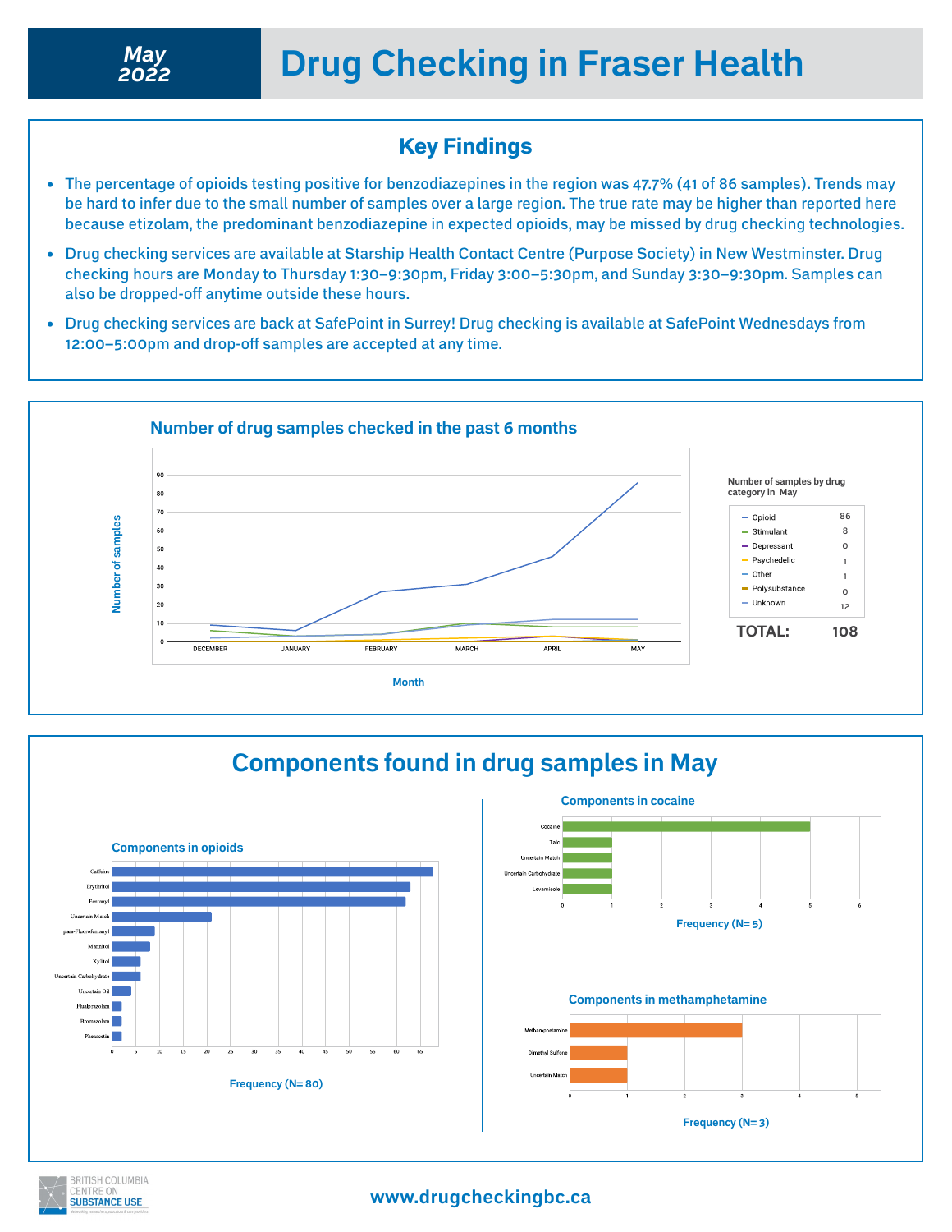## Key Findings

- The percentage of opioids testing positive for benzodiazepines in the region was 47.7% (41 of 86 samples). Trends may be hard to infer due to the small number of samples over a large region. The true rate may be higher than reported here because etizolam, the predominant benzodiazepine in expected opioids, may be missed by drug checking technologies.
- Drug checking services are available at Starship Health Contact Centre (Purpose Society) in New Westminster. Drug checking hours are Monday to Thursday 1:30–9:30pm, Friday 3:00–5:30pm, and Sunday 3:30–9:30pm. Samples can also be dropped-off anytime outside these hours.
- Drug checking services are back at SafePoint in Surrey! Drug checking is available at SafePoint Wednesdays from 12:00–5:00pm and drop-off samples are accepted at any time.



# **Components found in drug samples in May Components in cocaine Components in opioids** Caffei **Frequency (N= 5) Components in methamphetamine Frequency (N= 80) Frequency (N= 3)**

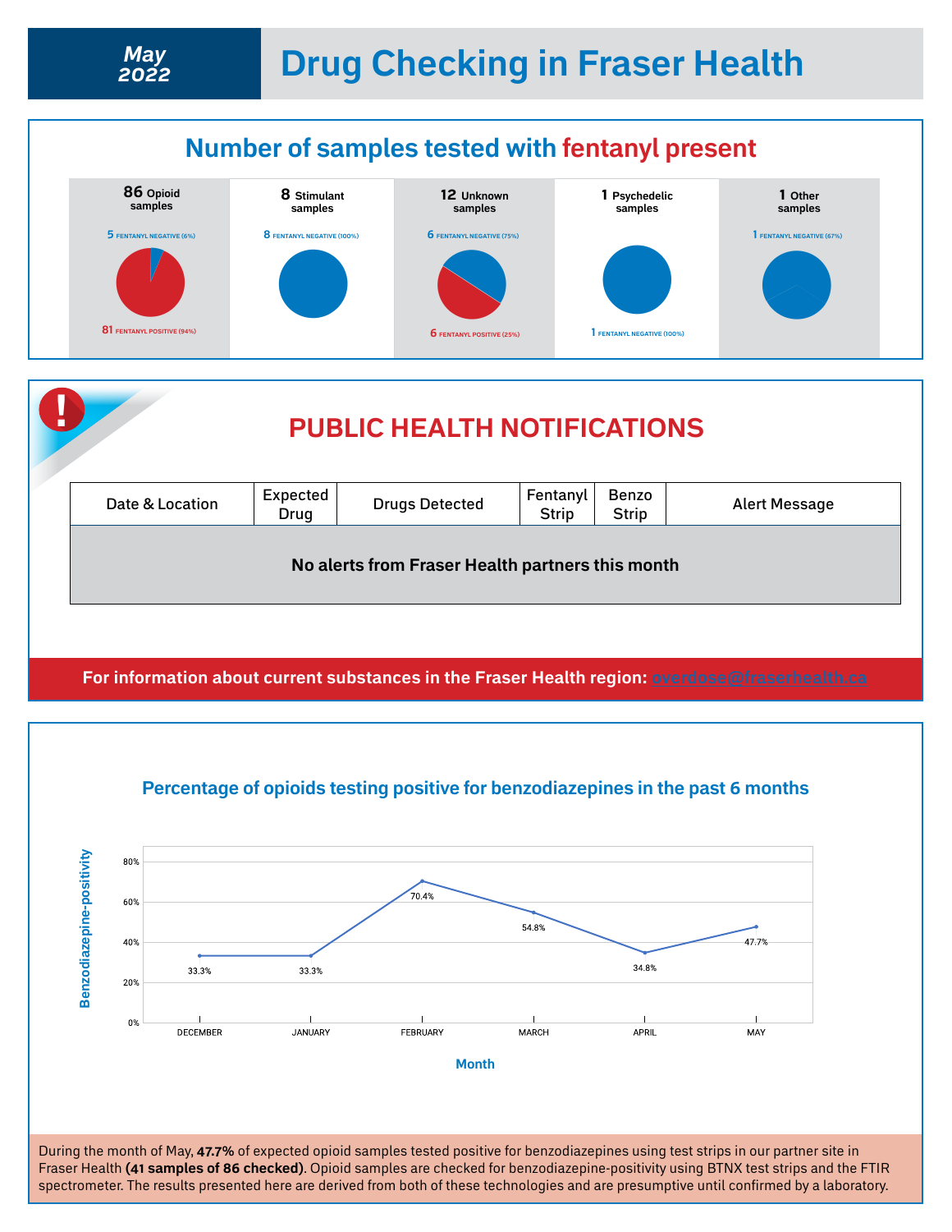# **Drug Checking in Fraser Health** *May*



*2022*







During the month of May, **47.7%** of expected opioid samples tested positive for benzodiazepines using test strips in our partner site in Fraser Health **(41 samples of 86 checked)**. Opioid samples are checked for benzodiazepine-positivity using BTNX test strips and the FTIR spectrometer. The results presented here are derived from both of these technologies and are presumptive until confirmed by a laboratory.